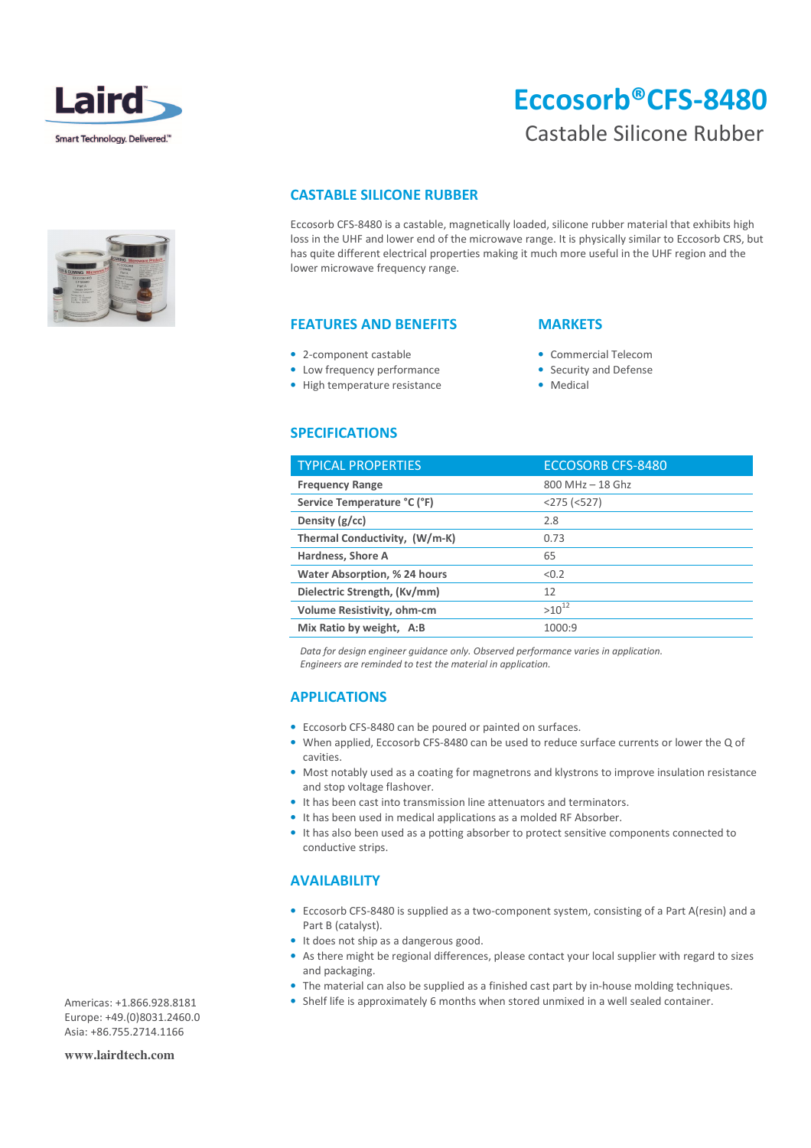

# Eccosorb®CFS-8480

## Castable Silicone Rubber

## CASTABLE SILICONE RUBBER

Eccosorb CFS-8480 is a castable, magnetically loaded, silicone rubber material that exhibits high loss in the UHF and lower end of the microwave range. It is physically similar to Eccosorb CRS, but has quite different electrical properties making it much more useful in the UHF region and the lower microwave frequency range.

#### FEATURES AND BENEFITS

- 2-component castable
- Low frequency performance
- High temperature resistance

#### **MARKETS**

- Commercial Telecom
- Security and Defense
- Medical

## SPECIFICATIONS

| <b>TYPICAL PROPERTIES</b>           | <b>ECCOSORB CFS-8480</b> |
|-------------------------------------|--------------------------|
| <b>Frequency Range</b>              | $800$ MHz $-$ 18 Ghz     |
| Service Temperature °C (°F)         | $<$ 275 ( $<$ 527)       |
| Density $(g/cc)$                    | 2.8                      |
| Thermal Conductivity, (W/m-K)       | 0.73                     |
| Hardness, Shore A                   | 65                       |
| <b>Water Absorption, % 24 hours</b> | < 0.2                    |
| Dielectric Strength, (Kv/mm)        | 12                       |
| Volume Resistivity, ohm-cm          | $>10^{12}$               |
| Mix Ratio by weight, A:B            | 1000:9                   |

 Data for design engineer guidance only. Observed performance varies in application. Engineers are reminded to test the material in application.

## APPLICATIONS

- Eccosorb CFS-8480 can be poured or painted on surfaces.
- When applied, Eccosorb CFS-8480 can be used to reduce surface currents or lower the Q of cavities.
- Most notably used as a coating for magnetrons and klystrons to improve insulation resistance and stop voltage flashover.
- It has been cast into transmission line attenuators and terminators.
- It has been used in medical applications as a molded RF Absorber.
- It has also been used as a potting absorber to protect sensitive components connected to conductive strips.

### AVAILABILITY

- Eccosorb CFS-8480 is supplied as a two-component system, consisting of a Part A(resin) and a Part B (catalyst).
- It does not ship as a dangerous good.
- As there might be regional differences, please contact your local supplier with regard to sizes and packaging.
- The material can also be supplied as a finished cast part by in-house molding techniques.
- Shelf life is approximately 6 months when stored unmixed in a well sealed container.

Americas: +1.866.928.8181 Europe: +49.(0)8031.2460.0 Asia: +86.755.2714.1166

**www.lairdtech.com**